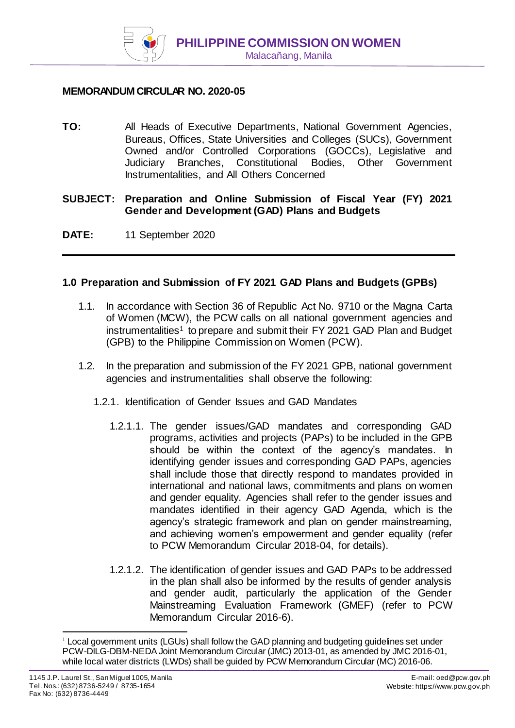

### **MEMORANDUM CIRCULAR NO. 2020-05**

**TO:** All Heads of Executive Departments, National Government Agencies, Bureaus, Offices, State Universities and Colleges (SUCs), Government Owned and/or Controlled Corporations (GOCCs), Legislative and Judiciary Branches, Constitutional Bodies, Other Government Instrumentalities, and All Others Concerned

**SUBJECT: Preparation and Online Submission of Fiscal Year (FY) 2021 Gender and Development (GAD) Plans and Budgets** 

**DATE:** 11 September 2020

#### **1.0 Preparation and Submission of FY 2021 GAD Plans and Budgets (GPBs)**

- 1.1. In accordance with Section 36 of Republic Act No. 9710 or the Magna Carta of Women (MCW), the PCW calls on all national government agencies and instrumentalities<sup>1</sup> to prepare and submit their FY 2021 GAD Plan and Budget (GPB) to the Philippine Commission on Women (PCW).
- 1.2. In the preparation and submission of the FY 2021 GPB, national government agencies and instrumentalities shall observe the following:
	- 1.2.1. Identification of Gender Issues and GAD Mandates
		- 1.2.1.1. The gender issues/GAD mandates and corresponding GAD programs, activities and projects (PAPs) to be included in the GPB should be within the context of the agency's mandates. In identifying gender issues and corresponding GAD PAPs, agencies shall include those that directly respond to mandates provided in international and national laws, commitments and plans on women and gender equality. Agencies shall refer to the gender issues and mandates identified in their agency GAD Agenda, which is the agency's strategic framework and plan on gender mainstreaming, and achieving women's empowerment and gender equality (refer to PCW Memorandum Circular 2018-04, for details).
		- 1.2.1.2. The identification of gender issues and GAD PAPs to be addressed in the plan shall also be informed by the results of gender analysis and gender audit, particularly the application of the Gender Mainstreaming Evaluation Framework (GMEF) (refer to PCW Memorandum Circular 2016-6).

j

 $1$  Local government units (LGUs) shall follow the GAD planning and budgeting guidelines set under PCW-DILG-DBM-NEDA Joint Memorandum Circular (JMC) 2013-01, as amended by JMC 2016-01, while local water districts (LWDs) shall be guided by PCW Memorandum Circular (MC) 2016-06.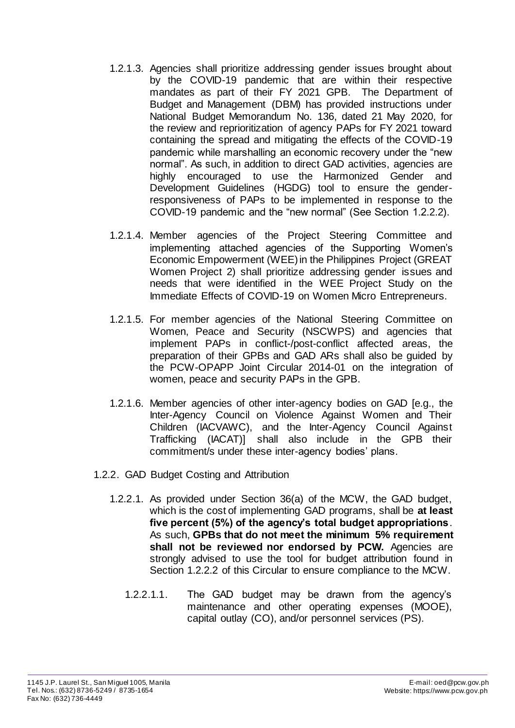- 1.2.1.3. Agencies shall prioritize addressing gender issues brought about by the COVID-19 pandemic that are within their respective mandates as part of their FY 2021 GPB. The Department of Budget and Management (DBM) has provided instructions under National Budget Memorandum No. 136, dated 21 May 2020, for the review and reprioritization of agency PAPs for FY 2021 toward containing the spread and mitigating the effects of the COVID-19 pandemic while marshalling an economic recovery under the "new normal". As such, in addition to direct GAD activities, agencies are highly encouraged to use the Harmonized Gender and Development Guidelines (HGDG) tool to ensure the genderresponsiveness of PAPs to be implemented in response to the COVID-19 pandemic and the "new normal" (See Section 1.2.2.2).
- 1.2.1.4. Member agencies of the Project Steering Committee and implementing attached agencies of the Supporting Women's Economic Empowerment (WEE) in the Philippines Project (GREAT Women Project 2) shall prioritize addressing gender issues and needs that were identified in the WEE Project Study on the Immediate Effects of COVID-19 on Women Micro Entrepreneurs.
- 1.2.1.5. For member agencies of the National Steering Committee on Women, Peace and Security (NSCWPS) and agencies that implement PAPs in conflict-/post-conflict affected areas, the preparation of their GPBs and GAD ARs shall also be guided by the PCW-OPAPP Joint Circular 2014-01 on the integration of women, peace and security PAPs in the GPB.
- 1.2.1.6. Member agencies of other inter-agency bodies on GAD [e.g., the Inter-Agency Council on Violence Against Women and Their Children (IACVAWC), and the Inter-Agency Council Against Trafficking (IACAT)] shall also include in the GPB their commitment/s under these inter-agency bodies' plans.
- 1.2.2. GAD Budget Costing and Attribution
	- 1.2.2.1. As provided under Section 36(a) of the MCW, the GAD budget, which is the cost of implementing GAD programs, shall be **at least five percent (5%) of the agency's total budget appropriations**. As such, **GPBs that do not meet the minimum 5% requirement shall not be reviewed nor endorsed by PCW.** Agencies are strongly advised to use the tool for budget attribution found in Section 1.2.2.2 of this Circular to ensure compliance to the MCW.
		- 1.2.2.1.1. The GAD budget may be drawn from the agency's maintenance and other operating expenses (MOOE), capital outlay (CO), and/or personnel services (PS).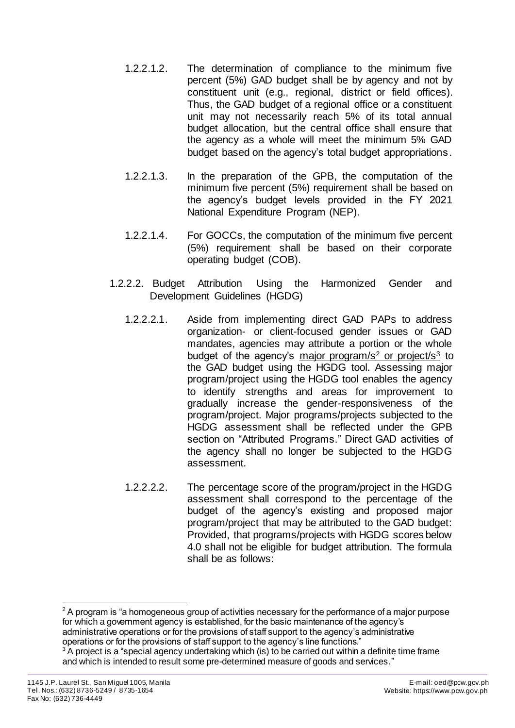- 1.2.2.1.2. The determination of compliance to the minimum five percent (5%) GAD budget shall be by agency and not by constituent unit (e.g., regional, district or field offices). Thus, the GAD budget of a regional office or a constituent unit may not necessarily reach 5% of its total annual budget allocation, but the central office shall ensure that the agency as a whole will meet the minimum 5% GAD budget based on the agency's total budget appropriations.
- 1.2.2.1.3. In the preparation of the GPB, the computation of the minimum five percent (5%) requirement shall be based on the agency's budget levels provided in the FY 2021 National Expenditure Program (NEP).
- 1.2.2.1.4. For GOCCs, the computation of the minimum five percent (5%) requirement shall be based on their corporate operating budget (COB).
- 1.2.2.2. Budget Attribution Using the Harmonized Gender and Development Guidelines (HGDG)
	- 1.2.2.2.1. Aside from implementing direct GAD PAPs to address organization- or client-focused gender issues or GAD mandates, agencies may attribute a portion or the whole budget of the agency's major program/s<sup>2</sup> or project/s<sup>3</sup> to the GAD budget using the HGDG tool. Assessing major program/project using the HGDG tool enables the agency to identify strengths and areas for improvement to gradually increase the gender-responsiveness of the program/project. Major programs/projects subjected to the HGDG assessment shall be reflected under the GPB section on "Attributed Programs." Direct GAD activities of the agency shall no longer be subjected to the HGDG assessment.
	- 1.2.2.2.2. The percentage score of the program/project in the HGDG assessment shall correspond to the percentage of the budget of the agency's existing and proposed major program/project that may be attributed to the GAD budget: Provided, that programs/projects with HGDG scores below 4.0 shall not be eligible for budget attribution. The formula shall be as follows:

l  $2$  A program is "a homogeneous group of activities necessary for the performance of a major purpose for which a government agency is established, for the basic maintenance of the agency's administrative operations or for the provisions of staff support to the agency's administrative operations or for the provisions of staff support to the agency's line functions."

<sup>&</sup>lt;sup>3</sup> A project is a "special agency undertaking which (is) to be carried out within a definite time frame and which is intended to result some pre-determined measure of goods and services."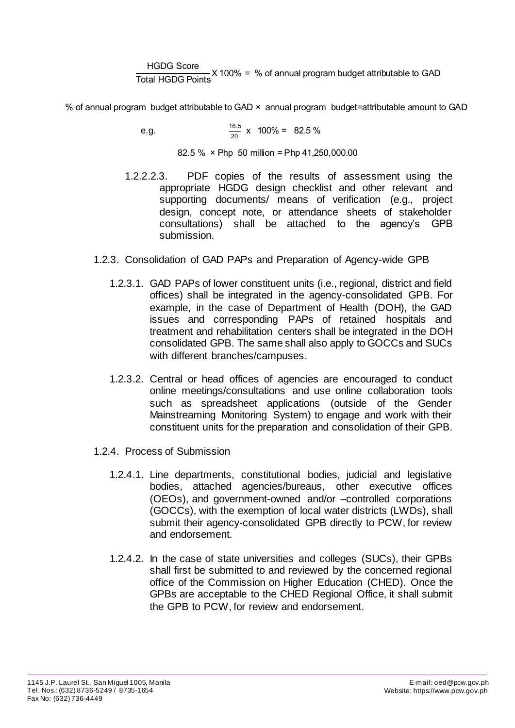HGDG Score **Total HGDG Points**<br>Total HGDG Points<br>X 100% = % of annual program budget attributable to GAD

% of annual program budget attributable to GAD × annual program budget=attributable amount to GAD

e.g. 
$$
\frac{16.5}{20} \times 100\% = 82.5\%
$$

82.5 % × Php 50 million = Php 41,250,000.00

- 1.2.2.2.3. PDF copies of the results of assessment using the appropriate HGDG design checklist and other relevant and supporting documents/ means of verification (e.g., project design, concept note, or attendance sheets of stakeholder consultations) shall be attached to the agency's GPB submission.
- 1.2.3. Consolidation of GAD PAPs and Preparation of Agency-wide GPB
	- 1.2.3.1. GAD PAPs of lower constituent units (i.e., regional, district and field offices) shall be integrated in the agency-consolidated GPB. For example, in the case of Department of Health (DOH), the GAD issues and corresponding PAPs of retained hospitals and treatment and rehabilitation centers shall be integrated in the DOH consolidated GPB. The same shall also apply to GOCCs and SUCs with different branches/campuses.
	- 1.2.3.2. Central or head offices of agencies are encouraged to conduct online meetings/consultations and use online collaboration tools such as spreadsheet applications (outside of the Gender Mainstreaming Monitoring System) to engage and work with their constituent units for the preparation and consolidation of their GPB.
- 1.2.4. Process of Submission
	- 1.2.4.1. Line departments, constitutional bodies, judicial and legislative bodies, attached agencies/bureaus, other executive offices (OEOs), and government-owned and/or –controlled corporations (GOCCs), with the exemption of local water districts (LWDs), shall submit their agency-consolidated GPB directly to PCW, for review and endorsement.
	- 1.2.4.2. In the case of state universities and colleges (SUCs), their GPBs shall first be submitted to and reviewed by the concerned regional office of the Commission on Higher Education (CHED). Once the GPBs are acceptable to the CHED Regional Office, it shall submit the GPB to PCW, for review and endorsement.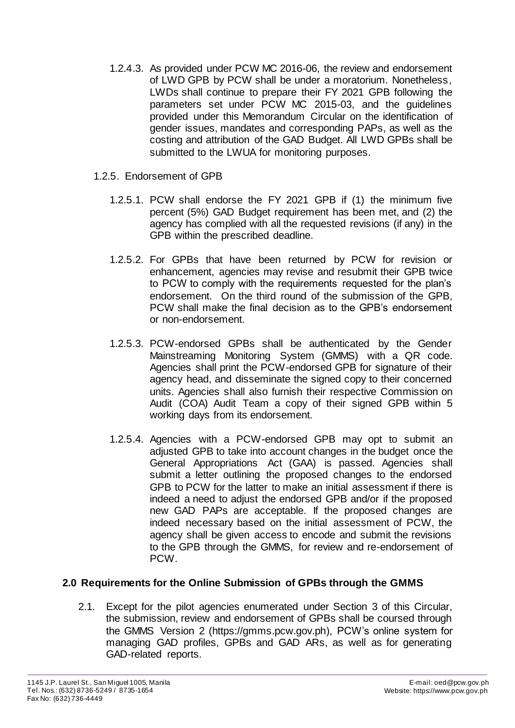- 1.2.4.3. As provided under PCW MC 2016-06, the review and endorsement of LWD GPB by PCW shall be under a moratorium. Nonetheless, LWDs shall continue to prepare their FY 2021 GPB following the parameters set under PCW MC 2015-03, and the guidelines provided under this Memorandum Circular on the identification of gender issues, mandates and corresponding PAPs, as well as the costing and attribution of the GAD Budget. All LWD GPBs shall be submitted to the LWUA for monitoring purposes.
- 1.2.5. Endorsement of GPB
	- 1.2.5.1. PCW shall endorse the FY 2021 GPB if (1) the minimum five percent (5%) GAD Budget requirement has been met, and (2) the agency has complied with all the requested revisions (if any) in the GPB within the prescribed deadline.
	- 1.2.5.2. For GPBs that have been returned by PCW for revision or enhancement, agencies may revise and resubmit their GPB twice to PCW to comply with the requirements requested for the plan's endorsement. On the third round of the submission of the GPB, PCW shall make the final decision as to the GPB's endorsement or non-endorsement.
	- 1.2.5.3. PCW-endorsed GPBs shall be authenticated by the Gender Mainstreaming Monitoring System (GMMS) with a QR code. Agencies shall print the PCW-endorsed GPB for signature of their agency head, and disseminate the signed copy to their concerned units. Agencies shall also furnish their respective Commission on Audit (COA) Audit Team a copy of their signed GPB within 5 working days from its endorsement.
	- 1.2.5.4. Agencies with a PCW-endorsed GPB may opt to submit an adjusted GPB to take into account changes in the budget once the General Appropriations Act (GAA) is passed. Agencies shall submit a letter outlining the proposed changes to the endorsed GPB to PCW for the latter to make an initial assessment if there is indeed a need to adjust the endorsed GPB and/or if the proposed new GAD PAPs are acceptable. If the proposed changes are indeed necessary based on the initial assessment of PCW, the agency shall be given access to encode and submit the revisions to the GPB through the GMMS, for review and re-endorsement of PCW.

## **2.0 Requirements for the Online Submission of GPBs through the GMMS**

2.1. Except for the pilot agencies enumerated under Section 3 of this Circular, the submission, review and endorsement of GPBs shall be coursed through the GMMS Version 2 (https://gmms.pcw.gov.ph), PCW's online system for managing GAD profiles, GPBs and GAD ARs, as well as for generating GAD-related reports.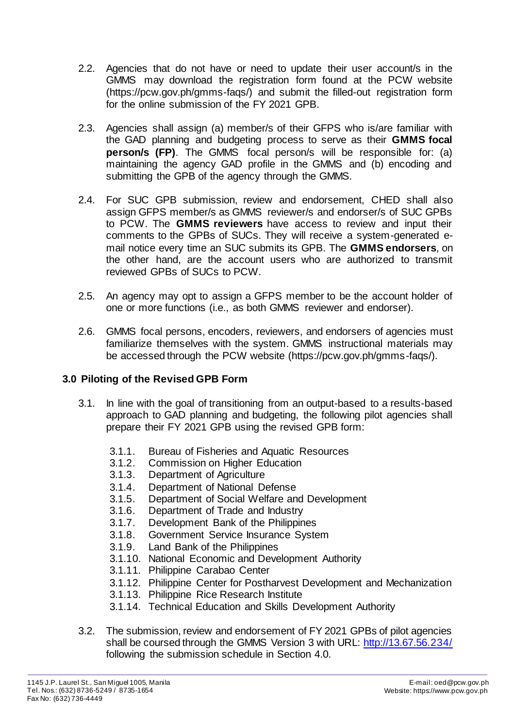- 2.2. Agencies that do not have or need to update their user account/s in the GMMS may download the registration form found at the PCW website (https://pcw.gov.ph/gmms-faqs/) and submit the filled-out registration form for the online submission of the FY 2021 GPB.
- 2.3. Agencies shall assign (a) member/s of their GFPS who is/are familiar with the GAD planning and budgeting process to serve as their **GMMS focal person/s (FP)**. The GMMS focal person/s will be responsible for: (a) maintaining the agency GAD profile in the GMMS and (b) encoding and submitting the GPB of the agency through the GMMS.
- 2.4. For SUC GPB submission, review and endorsement, CHED shall also assign GFPS member/s as GMMS reviewer/s and endorser/s of SUC GPBs to PCW. The **GMMS reviewers** have access to review and input their comments to the GPBs of SUCs. They will receive a system-generated email notice every time an SUC submits its GPB. The **GMMS endorsers**, on the other hand, are the account users who are authorized to transmit reviewed GPBs of SUCs to PCW.
- 2.5. An agency may opt to assign a GFPS member to be the account holder of one or more functions (i.e., as both GMMS reviewer and endorser).
- 2.6. GMMS focal persons, encoders, reviewers, and endorsers of agencies must familiarize themselves with the system. GMMS instructional materials may be accessed through the PCW website (https://pcw.gov.ph/gmms-faqs/).

## **3.0 Piloting of the Revised GPB Form**

- 3.1. In line with the goal of transitioning from an output-based to a results-based approach to GAD planning and budgeting, the following pilot agencies shall prepare their FY 2021 GPB using the revised GPB form:
	- 3.1.1. Bureau of Fisheries and Aquatic Resources
	- 3.1.2. Commission on Higher Education
	- 3.1.3. Department of Agriculture
	- 3.1.4. Department of National Defense
	- 3.1.5. Department of Social Welfare and Development<br>3.1.6. Department of Trade and Industry
	- Department of Trade and Industry
	- 3.1.7. Development Bank of the Philippines
	- 3.1.8. Government Service Insurance System
	- 3.1.9. Land Bank of the Philippines
	- 3.1.10. National Economic and Development Authority
	- 3.1.11. Philippine Carabao Center
	- 3.1.12. Philippine Center for Postharvest Development and Mechanization
	- 3.1.13. Philippine Rice Research Institute
	- 3.1.14. Technical Education and Skills Development Authority
- 3.2. The submission, review and endorsement of FY 2021 GPBs of pilot agencies shall be coursed through the GMMS Version 3 with URL:<http://13.67.56.234/> following the submission schedule in Section 4.0.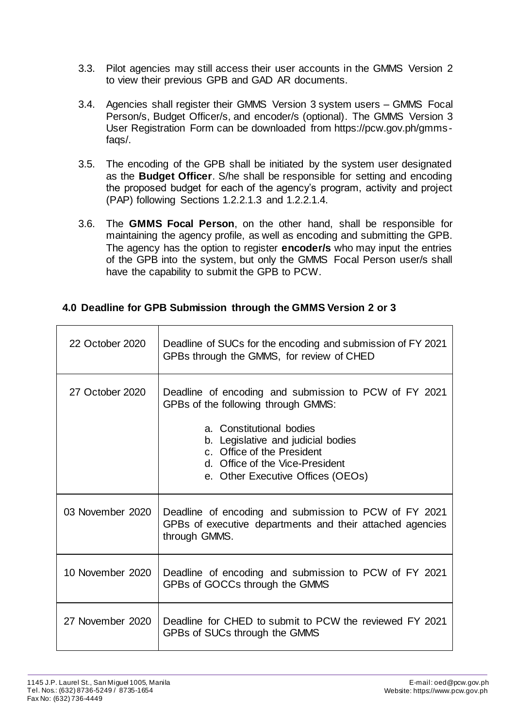- 3.3. Pilot agencies may still access their user accounts in the GMMS Version 2 to view their previous GPB and GAD AR documents.
- 3.4. Agencies shall register their GMMS Version 3 system users GMMS Focal Person/s, Budget Officer/s, and encoder/s (optional). The GMMS Version 3 User Registration Form can be downloaded from https://pcw.gov.ph/gmmsfaqs/.
- 3.5. The encoding of the GPB shall be initiated by the system user designated as the **Budget Officer**. S/he shall be responsible for setting and encoding the proposed budget for each of the agency's program, activity and project (PAP) following Sections 1.2.2.1.3 and 1.2.2.1.4.
- 3.6. The **GMMS Focal Person**, on the other hand, shall be responsible for maintaining the agency profile, as well as encoding and submitting the GPB. The agency has the option to register **encoder/s** who may input the entries of the GPB into the system, but only the GMMS Focal Person user/s shall have the capability to submit the GPB to PCW.

# **4.0 Deadline for GPB Submission through the GMMS Version 2 or 3**

| 22 October 2020  | Deadline of SUCs for the encoding and submission of FY 2021<br>GPBs through the GMMS, for review of CHED                                                                                                                                                             |
|------------------|----------------------------------------------------------------------------------------------------------------------------------------------------------------------------------------------------------------------------------------------------------------------|
| 27 October 2020  | Deadline of encoding and submission to PCW of FY 2021<br>GPBs of the following through GMMS:<br>a. Constitutional bodies<br>b. Legislative and judicial bodies<br>c. Office of the President<br>d. Office of the Vice-President<br>e. Other Executive Offices (OEOs) |
| 03 November 2020 | Deadline of encoding and submission to PCW of FY 2021<br>GPBs of executive departments and their attached agencies<br>through GMMS.                                                                                                                                  |
| 10 November 2020 | Deadline of encoding and submission to PCW of FY 2021<br>GPBs of GOCCs through the GMMS                                                                                                                                                                              |
| 27 November 2020 | Deadline for CHED to submit to PCW the reviewed FY 2021<br>GPBs of SUCs through the GMMS                                                                                                                                                                             |